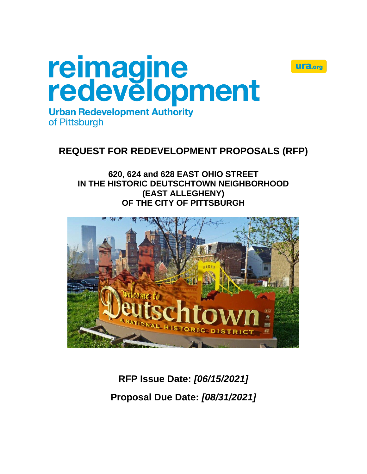# reimagine<br>redevelopment **Urban Redevelopment Authority**



of Pittsburgh

# **REQUEST FOR REDEVELOPMENT PROPOSALS (RFP)**

**620, 624 and 628 EAST OHIO STREET IN THE HISTORIC DEUTSCHTOWN NEIGHBORHOOD (EAST ALLEGHENY) OF THE CITY OF PITTSBURGH**



**RFP Issue Date:** *[06/15/2021]* **Proposal Due Date:** *[08/31/2021]*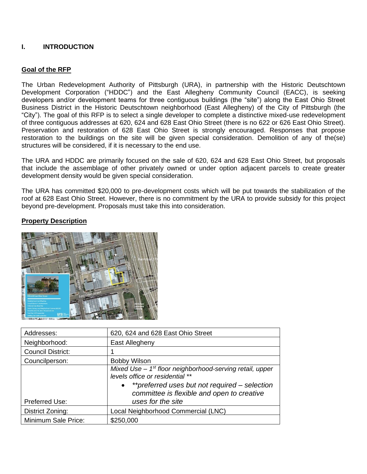# **I. INTRODUCTION**

# **Goal of the RFP**

The Urban Redevelopment Authority of Pittsburgh (URA), in partnership with the Historic Deutschtown Development Corporation ("HDDC") and the East Allegheny Community Council (EACC), is seeking developers and/or development teams for three contiguous buildings (the "site") along the East Ohio Street Business District in the Historic Deutschtown neighborhood (East Allegheny) of the City of Pittsburgh (the "City"). The goal of this RFP is to select a single developer to complete a distinctive mixed-use redevelopment of three contiguous addresses at 620, 624 and 628 East Ohio Street (there is no 622 or 626 East Ohio Street). Preservation and restoration of 628 East Ohio Street is strongly encouraged. Responses that propose restoration to the buildings on the site will be given special consideration. Demolition of any of the(se) structures will be considered, if it is necessary to the end use.

The URA and HDDC are primarily focused on the sale of 620, 624 and 628 East Ohio Street, but proposals that include the assemblage of other privately owned or under option adjacent parcels to create greater development density would be given special consideration.

The URA has committed \$20,000 to pre-development costs which will be put towards the stabilization of the roof at 628 East Ohio Street. However, there is no commitment by the URA to provide subsidy for this project beyond pre-development. Proposals must take this into consideration.



# **Property Description**

| Addresses:               | 620, 624 and 628 East Ohio Street                                                                                                                                                                                   |  |
|--------------------------|---------------------------------------------------------------------------------------------------------------------------------------------------------------------------------------------------------------------|--|
| Neighborhood:            | East Allegheny                                                                                                                                                                                                      |  |
| <b>Council District:</b> |                                                                                                                                                                                                                     |  |
| Councilperson:           | <b>Bobby Wilson</b>                                                                                                                                                                                                 |  |
| Preferred Use:           | Mixed Use $-1st$ floor neighborhood-serving retail, upper<br>levels office or residential **<br>• ** preferred uses but not required – selection<br>committee is flexible and open to creative<br>uses for the site |  |
| District Zoning:         | Local Neighborhood Commercial (LNC)                                                                                                                                                                                 |  |
| Minimum Sale Price:      | \$250,000                                                                                                                                                                                                           |  |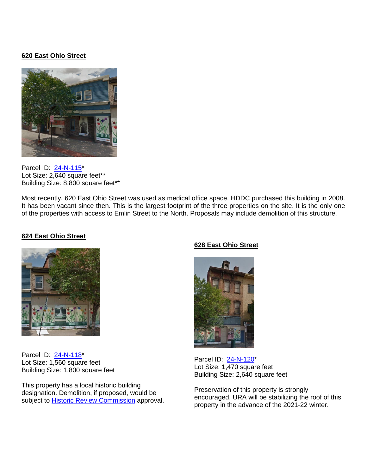# **620 East Ohio Street**



Parcel ID: [24-N-115\\*](http://www2.county.allegheny.pa.us/RealEstate/GeneralInfo.aspx?ParcelID=0024N00115000000%20%20%20%20&SearchType=3&SearchParcel=0024n00115) Lot Size: 2,640 square feet\*\* Building Size: 8,800 square feet\*\*

Most recently, 620 East Ohio Street was used as medical office space. HDDC purchased this building in 2008. It has been vacant since then. This is the largest footprint of the three properties on the site. It is the only one of the properties with access to Emlin Street to the North. Proposals may include demolition of this structure.

#### **624 East Ohio Street**



Parcel ID: [24-N-118\\*](http://www2.county.allegheny.pa.us/RealEstate/GeneralInfo.aspx?ParcelID=0024N00118000000%20%20%20%20&SearchType=3&CurrRow=0&SearchName=&SearchStreet=&SearchNum=&SearchMuni=&SearchParcel=0024n00118&pin=0024N00118000000) Lot Size: 1,560 square feet Building Size: 1,800 square feet

This property has a local historic building designation. Demolition, if proposed, would be subject to [Historic Review Commission](https://pittsburghpa.gov/dcp/hrc) approval.

# **628 East Ohio Street**



Parcel ID: [24-N-120\\*](http://www2.county.allegheny.pa.us/RealEstate/GeneralInfo.aspx?ParcelID=0024N00120000000%20%20%20%20&SearchType=3&SearchParcel=0024n00120) Lot Size: 1,470 square feet Building Size: 2,640 square feet

Preservation of this property is strongly encouraged. URA will be stabilizing the roof of this property in the advance of the 2021-22 winter.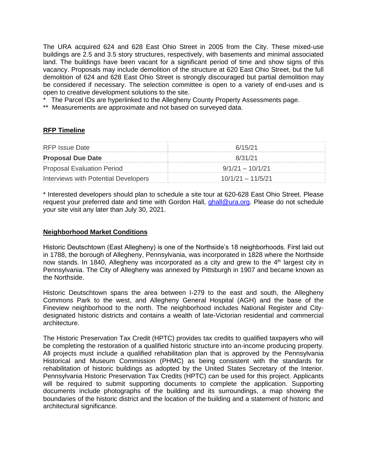The URA acquired 624 and 628 East Ohio Street in 2005 from the City. These mixed-use buildings are 2.5 and 3.5 story structures, respectively, with basements and minimal associated land. The buildings have been vacant for a significant period of time and show signs of this vacancy. Proposals may include demolition of the structure at 620 East Ohio Street, but the full demolition of 624 and 628 East Ohio Street is strongly discouraged but partial demolition may be considered if necessary. The selection committee is open to a variety of end-uses and is open to creative development solutions to the site.

\* The Parcel IDs are hyperlinked to the Allegheny County Property Assessments page.

\*\* Measurements are approximate and not based on surveyed data.

# **RFP Timeline**

| <b>RFP</b> Issue Date                | 6/15/21             |
|--------------------------------------|---------------------|
| <b>Proposal Due Date</b>             | 8/31/21             |
| Proposal Evaluation Period           | $9/1/21 - 10/1/21$  |
| Interviews with Potential Developers | $10/1/21 - 11/5/21$ |

\* Interested developers should plan to schedule a site tour at 620-628 East Ohio Street. Please request your preferred date and time with Gordon Hall, [ghall@ura.org.](mailto:ghall@ura.org) Please do not schedule your site visit any later than July 30, 2021.

#### **Neighborhood Market Conditions**

Historic Deutschtown (East Allegheny) is one of the Northside's 18 neighborhoods. First laid out in 1788, the borough of Allegheny, Pennsylvania, was incorporated in 1828 where the Northside now stands. In 1840, Allegheny was incorporated as a city and grew to the  $4<sup>th</sup>$  largest city in Pennsylvania. The City of Allegheny was annexed by Pittsburgh in 1907 and became known as the Northside.

Historic Deutschtown spans the area between I-279 to the east and south, the Allegheny Commons Park to the west, and Allegheny General Hospital (AGH) and the base of the Fineview neighborhood to the north. The neighborhood includes National Register and Citydesignated historic districts and contains a wealth of late-Victorian residential and commercial architecture.

The Historic Preservation Tax Credit (HPTC) provides tax credits to qualified taxpayers who will be completing the restoration of a qualified historic structure into an-income producing property. All projects must include a qualified rehabilitation plan that is approved by the Pennsylvania Historical and Museum Commission (PHMC) as being consistent with the standards for rehabilitation of historic buildings as adopted by the United States Secretary of the Interior. Pennsylvania Historic Preservation Tax Credits (HPTC) can be used for this project. Applicants will be required to submit supporting documents to complete the application. Supporting documents include photographs of the building and its surroundings, a map showing the boundaries of the historic district and the location of the building and a statement of historic and architectural significance.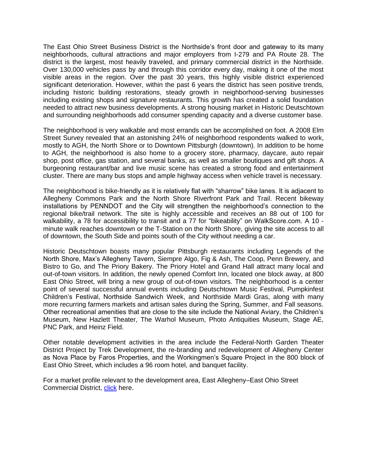The East Ohio Street Business District is the Northside's front door and gateway to its many neighborhoods, cultural attractions and major employers from I-279 and PA Route 28. The district is the largest, most heavily traveled, and primary commercial district in the Northside. Over 130,000 vehicles pass by and through this corridor every day, making it one of the most visible areas in the region. Over the past 30 years, this highly visible district experienced significant deterioration. However, within the past 6 years the district has seen positive trends, including historic building restorations, steady growth in neighborhood-serving businesses including existing shops and signature restaurants. This growth has created a solid foundation needed to attract new business developments. A strong housing market in Historic Deutschtown and surrounding neighborhoods add consumer spending capacity and a diverse customer base.

The neighborhood is very walkable and most errands can be accomplished on foot. A 2008 Elm Street Survey revealed that an astonishing 24% of neighborhood respondents walked to work, mostly to AGH, the North Shore or to Downtown Pittsburgh (downtown). In addition to be home to AGH, the neighborhood is also home to a grocery store, pharmacy, daycare, auto repair shop, post office, gas station, and several banks, as well as smaller boutiques and gift shops. A burgeoning restaurant/bar and live music scene has created a strong food and entertainment cluster. There are many bus stops and ample highway access when vehicle travel is necessary.

The neighborhood is bike-friendly as it is relatively flat with "sharrow" bike lanes. It is adjacent to Allegheny Commons Park and the North Shore Riverfront Park and Trail. Recent bikeway installations by PENNDOT and the City will strengthen the neighborhood's connection to the regional bike/trail network. The site is highly accessible and receives an 88 out of 100 for walkability, a 78 for accessibility to transit and a 77 for "bikeability" on WalkScore.com. A 10 minute walk reaches downtown or the T-Station on the North Shore, giving the site access to all of downtown, the South Side and points south of the City without needing a car.

Historic Deutschtown boasts many popular Pittsburgh restaurants including Legends of the North Shore, Max's Allegheny Tavern, Siempre Algo, Fig & Ash, The Coop, Penn Brewery, and Bistro to Go, and The Priory Bakery. The Priory Hotel and Grand Hall attract many local and out-of-town visitors. In addition, the newly opened Comfort Inn, located one block away, at 800 East Ohio Street, will bring a new group of out-of-town visitors. The neighborhood is a center point of several successful annual events including Deutschtown Music Festival, Pumpkinfest Children's Festival, Northside Sandwich Week, and Northside Mardi Gras, along with many more recurring farmers markets and artisan sales during the Spring, Summer, and Fall seasons. Other recreational amenities that are close to the site include the National Aviary, the Children's Museum, New Hazlett Theater, The Warhol Museum, Photo Antiquities Museum, Stage AE, PNC Park, and Heinz Field.

Other notable development activities in the area include the Federal-North Garden Theater District Project by Trek Development, the re-branding and redevelopment of Allegheny Center as Nova Place by Faros Properties, and the Workingmen's Square Project in the 800 block of East Ohio Street, which includes a 96 room hotel, and banquet facility.

For a market profile relevant to the development area, East Allegheny–East Ohio Street Commercial District, [click](http://apps.pittsburghpa.gov/ura-files/EAll_Profile_2015.pdf) here.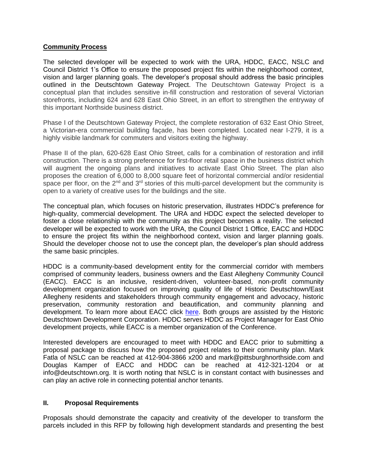#### **Community Process**

The selected developer will be expected to work with the URA, HDDC, EACC, NSLC and Council District 1's Office to ensure the proposed project fits within the neighborhood context, vision and larger planning goals. The developer's proposal should address the basic principles outlined in the Deutschtown Gateway Project. The Deutschtown Gateway Project is a conceptual plan that includes sensitive in-fill construction and restoration of several Victorian storefronts, including 624 and 628 East Ohio Street, in an effort to strengthen the entryway of this important Northside business district.

Phase I of the Deutschtown Gateway Project, the complete restoration of 632 East Ohio Street, a Victorian-era commercial building façade, has been completed. Located near I-279, it is a highly visible landmark for commuters and visitors exiting the highway.

Phase II of the plan, 620-628 East Ohio Street, calls for a combination of restoration and infill construction. There is a strong preference for first-floor retail space in the business district which will augment the ongoing plans and initiatives to activate East Ohio Street. The plan also proposes the creation of 6,000 to 8,000 square feet of horizontal commercial and/or residential space per floor, on the 2<sup>nd</sup> and 3<sup>rd</sup> stories of this multi-parcel development but the community is open to a variety of creative uses for the buildings and the site.

The conceptual plan, which focuses on historic preservation, illustrates HDDC's preference for high-quality, commercial development. The URA and HDDC expect the selected developer to foster a close relationship with the community as this project becomes a reality. The selected developer will be expected to work with the URA, the Council District 1 Office, EACC and HDDC to ensure the project fits within the neighborhood context, vision and larger planning goals. Should the developer choose not to use the concept plan, the developer's plan should address the same basic principles.

HDDC is a community-based development entity for the commercial corridor with members comprised of community leaders, business owners and the East Allegheny Community Council (EACC). EACC is an inclusive, resident-driven, volunteer-based, non-profit community development organization focused on improving quality of life of Historic Deutschtown/East Allegheny residents and stakeholders through community engagement and advocacy, historic preservation, community restoration and beautification, and community planning and development. To learn more about EACC click [here.](http://deutschtown.org/) Both groups are assisted by the Historic Deutschtown Development Corporation. HDDC serves HDDC as Project Manager for East Ohio development projects, while EACC is a member organization of the Conference.

Interested developers are encouraged to meet with HDDC and EACC prior to submitting a proposal package to discuss how the proposed project relates to their community plan. Mark Fatla of NSLC can be reached at 412-904-3866 x200 and mark@pittsburghnorthside.com and Douglas Kamper of EACC and HDDC can be reached at 412-321-1204 or at info@deutschtown.org. It is worth noting that NSLC is in constant contact with businesses and can play an active role in connecting potential anchor tenants.

# **II. Proposal Requirements**

Proposals should demonstrate the capacity and creativity of the developer to transform the parcels included in this RFP by following high development standards and presenting the best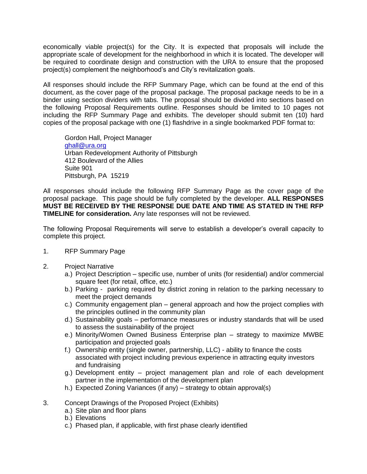economically viable project(s) for the City. It is expected that proposals will include the appropriate scale of development for the neighborhood in which it is located. The developer will be required to coordinate design and construction with the URA to ensure that the proposed project(s) complement the neighborhood's and City's revitalization goals.

All responses should include the RFP Summary Page, which can be found at the end of this document, as the cover page of the proposal package. The proposal package needs to be in a binder using section dividers with tabs. The proposal should be divided into sections based on the following Proposal Requirements outline. Responses should be limited to 10 pages not including the RFP Summary Page and exhibits. The developer should submit ten (10) hard copies of the proposal package with one (1) flashdrive in a single bookmarked PDF format to:

Gordon Hall, Project Manager [ghall@ura.org](mailto:ghall@ura.org) Urban Redevelopment Authority of Pittsburgh 412 Boulevard of the Allies Suite 901 Pittsburgh, PA 15219

All responses should include the following RFP Summary Page as the cover page of the proposal package. This page should be fully completed by the developer. **ALL RESPONSES MUST BE RECEIVED BY THE RESPONSE DUE DATE AND TIME AS STATED IN THE RFP TIMELINE for consideration.** Any late responses will not be reviewed.

The following Proposal Requirements will serve to establish a developer's overall capacity to complete this project.

- 1. RFP Summary Page
- 2. Project Narrative
	- a.) Project Description specific use, number of units (for residential) and/or commercial square feet (for retail, office, etc.)
	- b.) Parking parking required by district zoning in relation to the parking necessary to meet the project demands
	- c.) Community engagement plan general approach and how the project complies with the principles outlined in the community plan
	- d.) Sustainability goals performance measures or industry standards that will be used to assess the sustainability of the project
	- e.) Minority/Women Owned Business Enterprise plan strategy to maximize MWBE participation and projected goals
	- f.) Ownership entity (single owner, partnership, LLC) ability to finance the costs associated with project including previous experience in attracting equity investors and fundraising
	- g.) Development entity project management plan and role of each development partner in the implementation of the development plan
	- h.) Expected Zoning Variances (if any) strategy to obtain approval(s)
- 3. Concept Drawings of the Proposed Project (Exhibits)
	- a.) Site plan and floor plans
	- b.) Elevations
	- c.) Phased plan, if applicable, with first phase clearly identified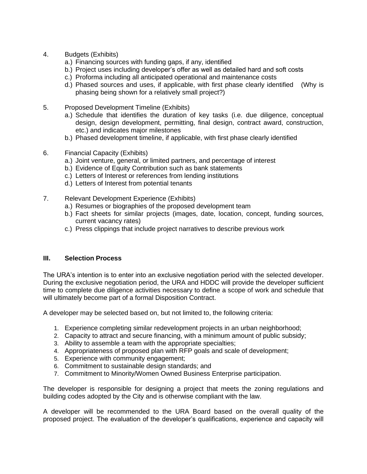- 4. Budgets (Exhibits)
	- a.) Financing sources with funding gaps, if any, identified
	- b.) Project uses including developer's offer as well as detailed hard and soft costs
	- c.) Proforma including all anticipated operational and maintenance costs
	- d.) Phased sources and uses, if applicable, with first phase clearly identified (Why is phasing being shown for a relatively small project?)
- 5. Proposed Development Timeline (Exhibits)
	- a.) Schedule that identifies the duration of key tasks (i.e. due diligence, conceptual design, design development, permitting, final design, contract award, construction, etc.) and indicates major milestones
	- b.) Phased development timeline, if applicable, with first phase clearly identified
- 6. Financial Capacity (Exhibits)
	- a.) Joint venture, general, or limited partners, and percentage of interest
	- b.) Evidence of Equity Contribution such as bank statements
	- c.) Letters of Interest or references from lending institutions
	- d.) Letters of Interest from potential tenants
- 7. Relevant Development Experience (Exhibits)
	- a.) Resumes or biographies of the proposed development team
	- b.) Fact sheets for similar projects (images, date, location, concept, funding sources, current vacancy rates)
	- c.) Press clippings that include project narratives to describe previous work

#### **III. Selection Process**

The URA's intention is to enter into an exclusive negotiation period with the selected developer. During the exclusive negotiation period, the URA and HDDC will provide the developer sufficient time to complete due diligence activities necessary to define a scope of work and schedule that will ultimately become part of a formal Disposition Contract.

A developer may be selected based on, but not limited to, the following criteria:

- 1. Experience completing similar redevelopment projects in an urban neighborhood;
- 2. Capacity to attract and secure financing, with a minimum amount of public subsidy;
- 3. Ability to assemble a team with the appropriate specialties;
- 4. Appropriateness of proposed plan with RFP goals and scale of development;
- 5. Experience with community engagement;
- 6. Commitment to sustainable design standards; and
- 7. Commitment to Minority/Women Owned Business Enterprise participation.

The developer is responsible for designing a project that meets the zoning regulations and building codes adopted by the City and is otherwise compliant with the law.

A developer will be recommended to the URA Board based on the overall quality of the proposed project. The evaluation of the developer's qualifications, experience and capacity will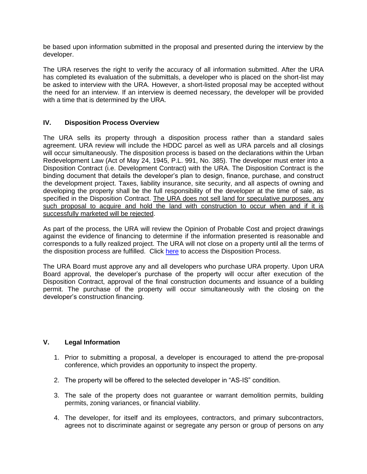be based upon information submitted in the proposal and presented during the interview by the developer.

The URA reserves the right to verify the accuracy of all information submitted. After the URA has completed its evaluation of the submittals, a developer who is placed on the short-list may be asked to interview with the URA. However, a short-listed proposal may be accepted without the need for an interview. If an interview is deemed necessary, the developer will be provided with a time that is determined by the URA.

# **IV. Disposition Process Overview**

The URA sells its property through a disposition process rather than a standard sales agreement. URA review will include the HDDC parcel as well as URA parcels and all closings will occur simultaneously. The disposition process is based on the declarations within the Urban Redevelopment Law (Act of May 24, 1945, P.L. 991, No. 385). The developer must enter into a Disposition Contract (i.e. Development Contract) with the URA. The Disposition Contract is the binding document that details the developer's plan to design, finance, purchase, and construct the development project. Taxes, liability insurance, site security, and all aspects of owning and developing the property shall be the full responsibility of the developer at the time of sale, as specified in the Disposition Contract. The URA does not sell land for speculative purposes, any such proposal to acquire and hold the land with construction to occur when and if it is successfully marketed will be rejected.

As part of the process, the URA will review the Opinion of Probable Cost and project drawings against the evidence of financing to determine if the information presented is reasonable and corresponds to a fully realized project. The URA will not close on a property until all the terms of the disposition process are fulfilled. Click [here](https://www.ura.org/pages/property-disposition) to access the Disposition Process.

The URA Board must approve any and all developers who purchase URA property. Upon URA Board approval, the developer's purchase of the property will occur after execution of the Disposition Contract, approval of the final construction documents and issuance of a building permit. The purchase of the property will occur simultaneously with the closing on the developer's construction financing.

# **V. Legal Information**

- 1. Prior to submitting a proposal, a developer is encouraged to attend the pre-proposal conference, which provides an opportunity to inspect the property.
- 2. The property will be offered to the selected developer in "AS-IS" condition.
- 3. The sale of the property does not guarantee or warrant demolition permits, building permits, zoning variances, or financial viability.
- 4. The developer, for itself and its employees, contractors, and primary subcontractors, agrees not to discriminate against or segregate any person or group of persons on any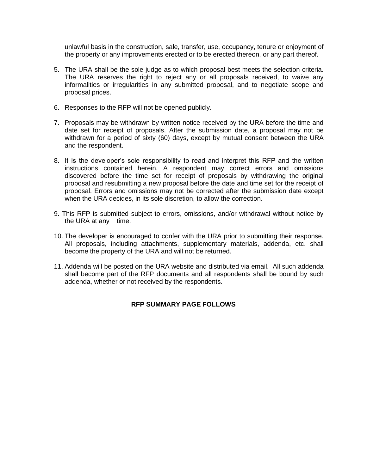unlawful basis in the construction, sale, transfer, use, occupancy, tenure or enjoyment of the property or any improvements erected or to be erected thereon, or any part thereof.

- 5. The URA shall be the sole judge as to which proposal best meets the selection criteria. The URA reserves the right to reject any or all proposals received, to waive any informalities or irregularities in any submitted proposal, and to negotiate scope and proposal prices.
- 6. Responses to the RFP will not be opened publicly.
- 7. Proposals may be withdrawn by written notice received by the URA before the time and date set for receipt of proposals. After the submission date, a proposal may not be withdrawn for a period of sixty (60) days, except by mutual consent between the URA and the respondent.
- 8. It is the developer's sole responsibility to read and interpret this RFP and the written instructions contained herein. A respondent may correct errors and omissions discovered before the time set for receipt of proposals by withdrawing the original proposal and resubmitting a new proposal before the date and time set for the receipt of proposal. Errors and omissions may not be corrected after the submission date except when the URA decides, in its sole discretion, to allow the correction.
- 9. This RFP is submitted subject to errors, omissions, and/or withdrawal without notice by the URA at any time.
- 10. The developer is encouraged to confer with the URA prior to submitting their response. All proposals, including attachments, supplementary materials, addenda, etc. shall become the property of the URA and will not be returned.
- 11. Addenda will be posted on the URA website and distributed via email. All such addenda shall become part of the RFP documents and all respondents shall be bound by such addenda, whether or not received by the respondents.

# **RFP SUMMARY PAGE FOLLOWS**